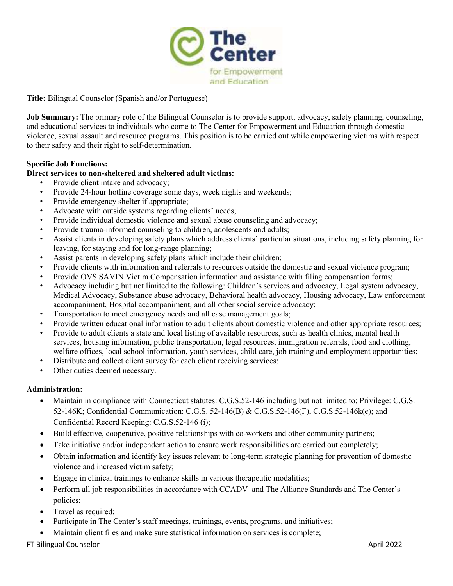

**Title:** Bilingual Counselor (Spanish and/or Portuguese)

**Job Summary:** The primary role of the Bilingual Counselor is to provide support, advocacy, safety planning, counseling, and educational services to individuals who come to The Center for Empowerment and Education through domestic violence, sexual assault and resource programs. This position is to be carried out while empowering victims with respect to their safety and their right to self-determination.

## **Specific Job Functions:**

### **Direct services to non-sheltered and sheltered adult victims:**

- Provide client intake and advocacy;
- Provide 24-hour hotline coverage some days, week nights and weekends;
- Provide emergency shelter if appropriate;
- Advocate with outside systems regarding clients' needs;
- Provide individual domestic violence and sexual abuse counseling and advocacy;
- Provide trauma-informed counseling to children, adolescents and adults;
- Assist clients in developing safety plans which address clients' particular situations, including safety planning for leaving, for staying and for long-range planning;
- Assist parents in developing safety plans which include their children;
- Provide clients with information and referrals to resources outside the domestic and sexual violence program;
- Provide OVS SAVIN Victim Compensation information and assistance with filing compensation forms;
- Advocacy including but not limited to the following: Children's services and advocacy, Legal system advocacy, Medical Advocacy, Substance abuse advocacy, Behavioral health advocacy, Housing advocacy, Law enforcement accompaniment, Hospital accompaniment, and all other social service advocacy;
- Transportation to meet emergency needs and all case management goals;
- Provide written educational information to adult clients about domestic violence and other appropriate resources;
- Provide to adult clients a state and local listing of available resources, such as health clinics, mental health services, housing information, public transportation, legal resources, immigration referrals, food and clothing, welfare offices, local school information, youth services, child care, job training and employment opportunities;
- Distribute and collect client survey for each client receiving services;
- Other duties deemed necessary.

#### **Administration:**

- Maintain in compliance with Connecticut statutes: C.G.S.52-146 including but not limited to: Privilege: C.G.S. 52-146K; Confidential Communication: C.G.S. 52-146(B) & C.G.S.52-146(F), C.G.S.52-146k(e); and Confidential Record Keeping: C.G.S.52-146 (i);
- Build effective, cooperative, positive relationships with co-workers and other community partners;
- Take initiative and/or independent action to ensure work responsibilities are carried out completely;
- Obtain information and identify key issues relevant to long-term strategic planning for prevention of domestic violence and increased victim safety;
- Engage in clinical trainings to enhance skills in various therapeutic modalities;
- Perform all job responsibilities in accordance with CCADV and The Alliance Standards and The Center's policies;
- Travel as required;
- Participate in The Center's staff meetings, trainings, events, programs, and initiatives;
- Maintain client files and make sure statistical information on services is complete;

FT Bilingual Counselor April 2022